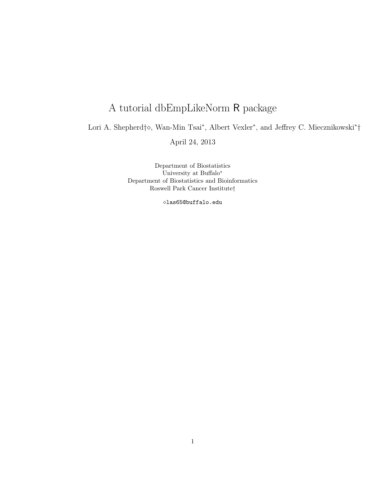## A tutorial dbEmpLikeNorm R package

Lori A. Shepherd†◇, Wan-Min Tsai<sup>\*</sup>, Albert Vexler<sup>\*</sup>, and Jeffrey C. Miecznikowski<sup>\*</sup>†

April 24, 2013

Department of Biostatistics University at Buffalo<sup>∗</sup> Department of Biostatistics and Bioinformatics Roswell Park Cancer Institute†

las65@buffalo.edu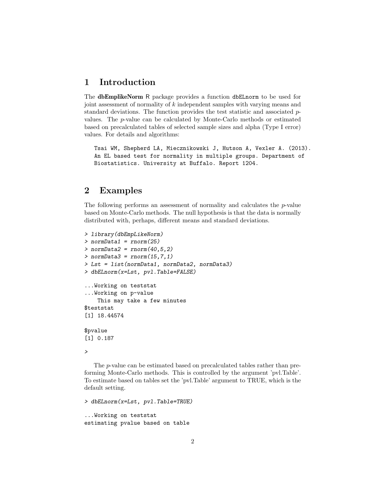## 1 Introduction

The dbEmplikeNorm R package provides a function dbELnorm to be used for joint assessment of normality of k independent samples with varying means and standard deviations. The function provides the test statistic and associated  $p$ values. The p-value can be calculated by Monte-Carlo methods or estimated based on precalculated tables of selected sample sizes and alpha (Type I error) values. For details and algorithms:

Tsai WM, Shepherd LA, Miecznikowski J, Hutson A, Vexler A. (2013). An EL based test for normality in multiple groups. Department of Biostatistics. University at Buffalo. Report 1204.

## 2 Examples

The following performs an assessment of normality and calculates the p-value based on Monte-Carlo methods. The null hypothesis is that the data is normally distributed with, perhaps, different means and standard deviations.

```
> library(dbEmpLikeNorm)
> normData1 = rnorm(25)
> normData2 = rnorm(40, 5, 2)> normData3 = rnorm(15, 7, 1)> Lst = list(normData1, normData2, normData3)
> dbELnorm(x=Lst, pvl.Table=FALSE)
...Working on teststat
...Working on p-value
    This may take a few minutes
$teststat
[1] 18.44574
$pvalue
[1] 0.187
>
```
The p-value can be estimated based on precalculated tables rather than preforming Monte-Carlo methods. This is controlled by the argument 'pvl.Table'. To estimate based on tables set the 'pvl.Table' argument to TRUE, which is the default setting.

> dbELnorm(x=Lst, pvl.Table=TRUE) ...Working on teststat estimating pvalue based on table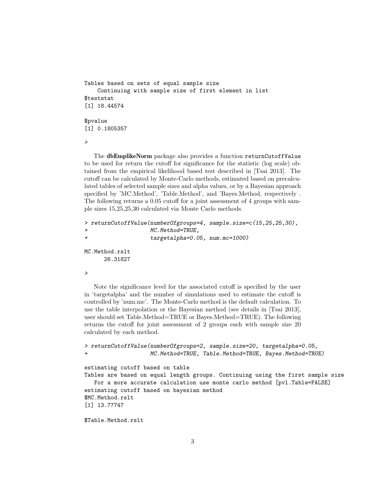```
Tables based on sets of equal sample size
    Continuing with sample size of first element in list
$teststat
[1] 18.44574
$pvalue
[1] 0.1805357
```
>

The dbEmplikeNorm package also provides a function returnCutoffValue to be used for return the cutoff for significance for the statistic (log scale) obtained from the empirical likelihood based test described in [Tsai 2013]. The cutoff can be calculated by Monte-Carlo methods, estimated based on precalculated tables of selected sample sizes and alpha values, or by a Bayesian approach specified by 'MC.Method', 'Table.Method', and 'Bayes.Method, respectively . The following returns a 0.05 cutoff for a joint assessment of 4 groups with sample sizes 15,25,25,30 calculated via Monte Carlo methods.

```
> returnCutoffValue(numberOfgroups=4, sample.size=c(15,25,25,30),
+ MC.Method=TRUE,
+ targetalpha=0.05, num.mc=1000)
MC.Method.rslt
```

```
26.31827
```

```
>
```
Note the significance level for the associated cutoff is specified by the user in 'targetalpha' and the number of simulations used to estimate the cutoff is controlled by 'num.mc'. The Monte-Carlo method is the default calculation. To use the table interpolation or the Bayesian method (see details in [Tsai 2013], user should set Table.Method=TRUE or Bayes.Method=TRUE). The following returns the cutoff for joint assessment of 2 groups each with sample size 20 calculated by each method.

```
> returnCutoffValue(numberOfgroups=2, sample.size=20, targetalpha=0.05,
+ MC.Method=TRUE, Table.Method=TRUE, Bayes.Method=TRUE)
```

```
estimating cutoff based on table
Tables are based on equal length groups. Continuing using the first sample size
   For a more accurate calculation use monte carlo method [pvl.Table=FALSE]
estimating cutoff based on bayesian method
$MC.Method.rslt
[1] 13.77747
```
\$Table.Method.rslt